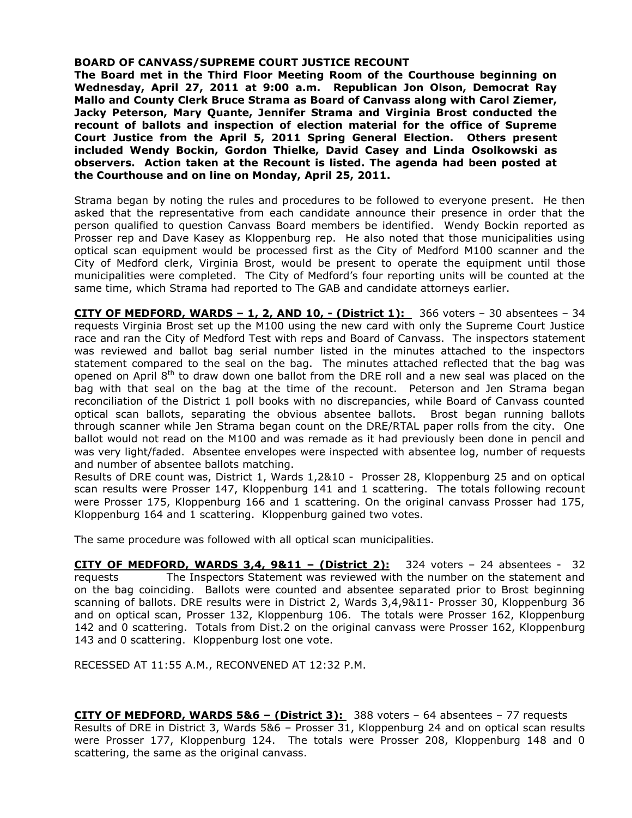# **BOARD OF CANVASS/SUPREME COURT JUSTICE RECOUNT**

**The Board met in the Third Floor Meeting Room of the Courthouse beginning on Wednesday, April 27, 2011 at 9:00 a.m. Republican Jon Olson, Democrat Ray Mallo and County Clerk Bruce Strama as Board of Canvass along with Carol Ziemer, Jacky Peterson, Mary Quante, Jennifer Strama and Virginia Brost conducted the recount of ballots and inspection of election material for the office of Supreme Court Justice from the April 5, 2011 Spring General Election. Others present included Wendy Bockin, Gordon Thielke, David Casey and Linda Osolkowski as observers. Action taken at the Recount is listed. The agenda had been posted at the Courthouse and on line on Monday, April 25, 2011.** 

Strama began by noting the rules and procedures to be followed to everyone present. He then asked that the representative from each candidate announce their presence in order that the person qualified to question Canvass Board members be identified. Wendy Bockin reported as Prosser rep and Dave Kasey as Kloppenburg rep. He also noted that those municipalities using optical scan equipment would be processed first as the City of Medford M100 scanner and the City of Medford clerk, Virginia Brost, would be present to operate the equipment until those municipalities were completed. The City of Medford's four reporting units will be counted at the same time, which Strama had reported to The GAB and candidate attorneys earlier.

**CITY OF MEDFORD, WARDS – 1, 2, AND 10, - (District 1):** 366 voters – 30 absentees – 34 requests Virginia Brost set up the M100 using the new card with only the Supreme Court Justice race and ran the City of Medford Test with reps and Board of Canvass. The inspectors statement was reviewed and ballot bag serial number listed in the minutes attached to the inspectors statement compared to the seal on the bag. The minutes attached reflected that the bag was opened on April  $8<sup>th</sup>$  to draw down one ballot from the DRE roll and a new seal was placed on the bag with that seal on the bag at the time of the recount. Peterson and Jen Strama began reconciliation of the District 1 poll books with no discrepancies, while Board of Canvass counted optical scan ballots, separating the obvious absentee ballots. Brost began running ballots through scanner while Jen Strama began count on the DRE/RTAL paper rolls from the city. One ballot would not read on the M100 and was remade as it had previously been done in pencil and was very light/faded. Absentee envelopes were inspected with absentee log, number of requests and number of absentee ballots matching.

Results of DRE count was, District 1, Wards 1,2&10 - Prosser 28, Kloppenburg 25 and on optical scan results were Prosser 147, Kloppenburg 141 and 1 scattering. The totals following recount were Prosser 175, Kloppenburg 166 and 1 scattering. On the original canvass Prosser had 175, Kloppenburg 164 and 1 scattering. Kloppenburg gained two votes.

The same procedure was followed with all optical scan municipalities.

**CITY OF MEDFORD, WARDS 3,4, 9&11 – (District 2):** 324 voters – 24 absentees - 32 requests The Inspectors Statement was reviewed with the number on the statement and on the bag coinciding. Ballots were counted and absentee separated prior to Brost beginning scanning of ballots. DRE results were in District 2, Wards 3,4,9&11- Prosser 30, Kloppenburg 36 and on optical scan, Prosser 132, Kloppenburg 106. The totals were Prosser 162, Kloppenburg 142 and 0 scattering. Totals from Dist.2 on the original canvass were Prosser 162, Kloppenburg 143 and 0 scattering. Kloppenburg lost one vote.

RECESSED AT 11:55 A.M., RECONVENED AT 12:32 P.M.

**CITY OF MEDFORD, WARDS 5&6 – (District 3):** 388 voters – 64 absentees – 77 requests Results of DRE in District 3, Wards 5&6 – Prosser 31, Kloppenburg 24 and on optical scan results were Prosser 177, Kloppenburg 124. The totals were Prosser 208, Kloppenburg 148 and 0 scattering, the same as the original canvass.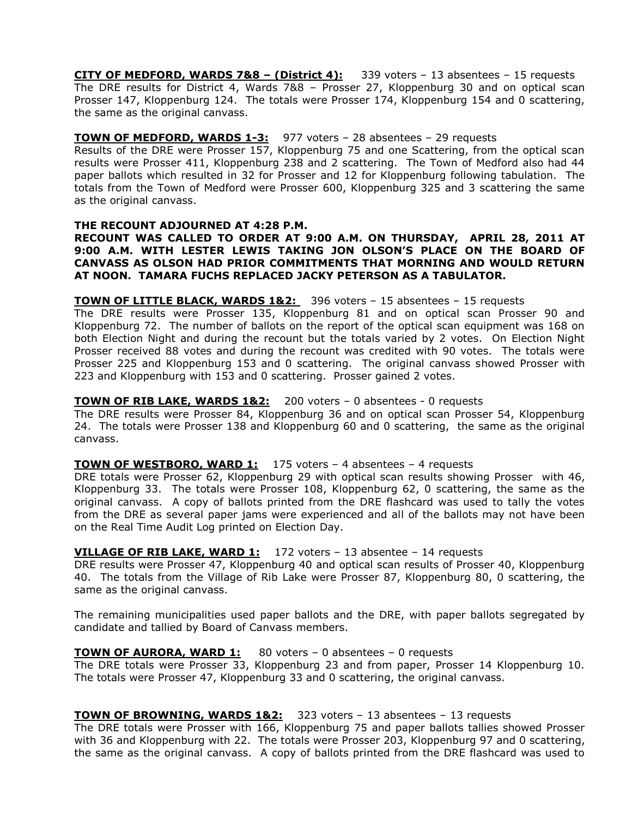**CITY OF MEDFORD, WARDS 7&8 – (District 4):** 339 voters – 13 absentees – 15 requests The DRE results for District 4, Wards 7&8 – Prosser 27, Kloppenburg 30 and on optical scan Prosser 147, Kloppenburg 124. The totals were Prosser 174, Kloppenburg 154 and 0 scattering, the same as the original canvass.

# **TOWN OF MEDFORD, WARDS 1-3:** 977 voters – 28 absentees – 29 requests

Results of the DRE were Prosser 157, Kloppenburg 75 and one Scattering, from the optical scan results were Prosser 411, Kloppenburg 238 and 2 scattering. The Town of Medford also had 44 paper ballots which resulted in 32 for Prosser and 12 for Kloppenburg following tabulation. The totals from the Town of Medford were Prosser 600, Kloppenburg 325 and 3 scattering the same as the original canvass.

# **THE RECOUNT ADJOURNED AT 4:28 P.M.**

**RECOUNT WAS CALLED TO ORDER AT 9:00 A.M. ON THURSDAY, APRIL 28, 2011 AT 9:00 A.M. WITH LESTER LEWIS TAKING JON OLSON'S PLACE ON THE BOARD OF CANVASS AS OLSON HAD PRIOR COMMITMENTS THAT MORNING AND WOULD RETURN AT NOON. TAMARA FUCHS REPLACED JACKY PETERSON AS A TABULATOR.**

# **TOWN OF LITTLE BLACK, WARDS 1&2:** 396 voters – 15 absentees – 15 requests

The DRE results were Prosser 135, Kloppenburg 81 and on optical scan Prosser 90 and Kloppenburg 72. The number of ballots on the report of the optical scan equipment was 168 on both Election Night and during the recount but the totals varied by 2 votes. On Election Night Prosser received 88 votes and during the recount was credited with 90 votes. The totals were Prosser 225 and Kloppenburg 153 and 0 scattering. The original canvass showed Prosser with 223 and Kloppenburg with 153 and 0 scattering. Prosser gained 2 votes.

# **TOWN OF RIB LAKE, WARDS 1&2:** 200 voters – 0 absentees - 0 requests

The DRE results were Prosser 84, Kloppenburg 36 and on optical scan Prosser 54, Kloppenburg 24. The totals were Prosser 138 and Kloppenburg 60 and 0 scattering, the same as the original canvass.

# **TOWN OF WESTBORO, WARD 1:** 175 voters – 4 absentees – 4 requests

DRE totals were Prosser 62, Kloppenburg 29 with optical scan results showing Prosser with 46, Kloppenburg 33. The totals were Prosser 108, Kloppenburg 62, 0 scattering, the same as the original canvass. A copy of ballots printed from the DRE flashcard was used to tally the votes from the DRE as several paper jams were experienced and all of the ballots may not have been on the Real Time Audit Log printed on Election Day.

# **VILLAGE OF RIB LAKE, WARD 1:** 172 voters – 13 absentee – 14 requests

DRE results were Prosser 47, Kloppenburg 40 and optical scan results of Prosser 40, Kloppenburg 40. The totals from the Village of Rib Lake were Prosser 87, Kloppenburg 80, 0 scattering, the same as the original canvass.

The remaining municipalities used paper ballots and the DRE, with paper ballots segregated by candidate and tallied by Board of Canvass members.

# **TOWN OF AURORA, WARD 1:** 80 voters – 0 absentees – 0 requests

The DRE totals were Prosser 33, Kloppenburg 23 and from paper, Prosser 14 Kloppenburg 10. The totals were Prosser 47, Kloppenburg 33 and 0 scattering, the original canvass.

# **TOWN OF BROWNING, WARDS 1&2:** 323 voters – 13 absentees – 13 requests

The DRE totals were Prosser with 166, Kloppenburg 75 and paper ballots tallies showed Prosser with 36 and Kloppenburg with 22. The totals were Prosser 203, Kloppenburg 97 and 0 scattering, the same as the original canvass. A copy of ballots printed from the DRE flashcard was used to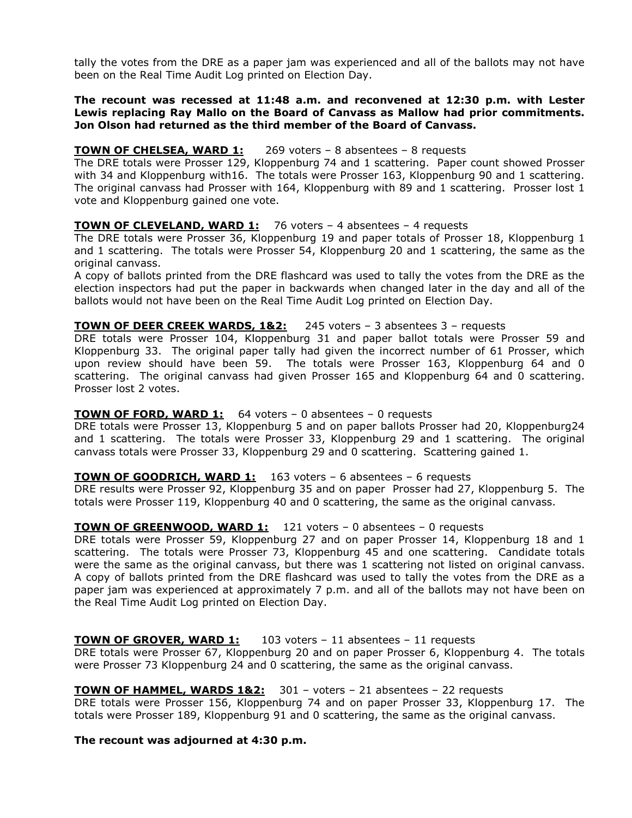tally the votes from the DRE as a paper jam was experienced and all of the ballots may not have been on the Real Time Audit Log printed on Election Day.

# **The recount was recessed at 11:48 a.m. and reconvened at 12:30 p.m. with Lester Lewis replacing Ray Mallo on the Board of Canvass as Mallow had prior commitments. Jon Olson had returned as the third member of the Board of Canvass.**

# **TOWN OF CHELSEA, WARD 1:** 269 voters – 8 absentees – 8 requests

The DRE totals were Prosser 129, Kloppenburg 74 and 1 scattering. Paper count showed Prosser with 34 and Kloppenburg with16. The totals were Prosser 163, Kloppenburg 90 and 1 scattering. The original canvass had Prosser with 164, Kloppenburg with 89 and 1 scattering. Prosser lost 1 vote and Kloppenburg gained one vote.

# **TOWN OF CLEVELAND, WARD 1:** 76 voters – 4 absentees – 4 requests

The DRE totals were Prosser 36, Kloppenburg 19 and paper totals of Prosser 18, Kloppenburg 1 and 1 scattering. The totals were Prosser 54, Kloppenburg 20 and 1 scattering, the same as the original canvass.

A copy of ballots printed from the DRE flashcard was used to tally the votes from the DRE as the election inspectors had put the paper in backwards when changed later in the day and all of the ballots would not have been on the Real Time Audit Log printed on Election Day.

# **TOWN OF DEER CREEK WARDS, 1&2:** 245 voters – 3 absentees 3 – requests

DRE totals were Prosser 104, Kloppenburg 31 and paper ballot totals were Prosser 59 and Kloppenburg 33. The original paper tally had given the incorrect number of 61 Prosser, which upon review should have been 59. The totals were Prosser 163, Kloppenburg 64 and 0 scattering. The original canvass had given Prosser 165 and Kloppenburg 64 and 0 scattering. Prosser lost 2 votes.

# **TOWN OF FORD, WARD 1:** 64 voters – 0 absentees – 0 requests

DRE totals were Prosser 13, Kloppenburg 5 and on paper ballots Prosser had 20, Kloppenburg24 and 1 scattering. The totals were Prosser 33, Kloppenburg 29 and 1 scattering. The original canvass totals were Prosser 33, Kloppenburg 29 and 0 scattering. Scattering gained 1.

#### **TOWN OF GOODRICH, WARD 1:** 163 voters – 6 absentees – 6 requests

DRE results were Prosser 92, Kloppenburg 35 and on paper Prosser had 27, Kloppenburg 5. The totals were Prosser 119, Kloppenburg 40 and 0 scattering, the same as the original canvass.

#### **TOWN OF GREENWOOD, WARD 1:** 121 voters – 0 absentees – 0 requests

DRE totals were Prosser 59, Kloppenburg 27 and on paper Prosser 14, Kloppenburg 18 and 1 scattering. The totals were Prosser 73, Kloppenburg 45 and one scattering. Candidate totals were the same as the original canvass, but there was 1 scattering not listed on original canvass. A copy of ballots printed from the DRE flashcard was used to tally the votes from the DRE as a paper jam was experienced at approximately 7 p.m. and all of the ballots may not have been on the Real Time Audit Log printed on Election Day.

#### **TOWN OF GROVER, WARD 1:** 103 voters – 11 absentees – 11 requests

DRE totals were Prosser 67, Kloppenburg 20 and on paper Prosser 6, Kloppenburg 4. The totals were Prosser 73 Kloppenburg 24 and 0 scattering, the same as the original canvass.

## **TOWN OF HAMMEL, WARDS 1&2:** 301 – voters – 21 absentees – 22 requests

DRE totals were Prosser 156, Kloppenburg 74 and on paper Prosser 33, Kloppenburg 17. The totals were Prosser 189, Kloppenburg 91 and 0 scattering, the same as the original canvass.

## **The recount was adjourned at 4:30 p.m.**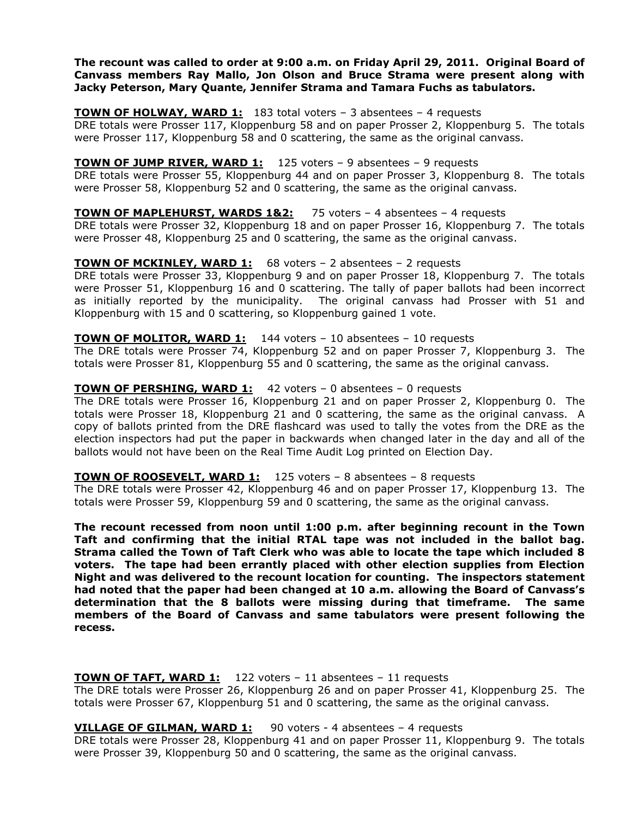**The recount was called to order at 9:00 a.m. on Friday April 29, 2011. Original Board of Canvass members Ray Mallo, Jon Olson and Bruce Strama were present along with Jacky Peterson, Mary Quante, Jennifer Strama and Tamara Fuchs as tabulators.**

# **TOWN OF HOLWAY, WARD 1:** 183 total voters – 3 absentees – 4 requests

DRE totals were Prosser 117, Kloppenburg 58 and on paper Prosser 2, Kloppenburg 5. The totals were Prosser 117, Kloppenburg 58 and 0 scattering, the same as the original canvass.

## **TOWN OF JUMP RIVER, WARD 1:** 125 voters - 9 absentees - 9 requests

DRE totals were Prosser 55, Kloppenburg 44 and on paper Prosser 3, Kloppenburg 8. The totals were Prosser 58, Kloppenburg 52 and 0 scattering, the same as the original canvass.

# **TOWN OF MAPLEHURST, WARDS 1&2:** 75 voters – 4 absentees – 4 requests

DRE totals were Prosser 32, Kloppenburg 18 and on paper Prosser 16, Kloppenburg 7. The totals were Prosser 48, Kloppenburg 25 and 0 scattering, the same as the original canvass.

# **TOWN OF MCKINLEY, WARD 1:** 68 voters – 2 absentees – 2 requests

DRE totals were Prosser 33, Kloppenburg 9 and on paper Prosser 18, Kloppenburg 7. The totals were Prosser 51, Kloppenburg 16 and 0 scattering. The tally of paper ballots had been incorrect as initially reported by the municipality. The original canvass had Prosser with 51 and Kloppenburg with 15 and 0 scattering, so Kloppenburg gained 1 vote.

## **TOWN OF MOLITOR, WARD 1:** 144 voters – 10 absentees – 10 requests

The DRE totals were Prosser 74, Kloppenburg 52 and on paper Prosser 7, Kloppenburg 3. The totals were Prosser 81, Kloppenburg 55 and 0 scattering, the same as the original canvass.

#### **TOWN OF PERSHING, WARD 1:** 42 voters – 0 absentees – 0 requests

The DRE totals were Prosser 16, Kloppenburg 21 and on paper Prosser 2, Kloppenburg 0. The totals were Prosser 18, Kloppenburg 21 and 0 scattering, the same as the original canvass. A copy of ballots printed from the DRE flashcard was used to tally the votes from the DRE as the election inspectors had put the paper in backwards when changed later in the day and all of the ballots would not have been on the Real Time Audit Log printed on Election Day.

#### **TOWN OF ROOSEVELT, WARD 1:** 125 voters – 8 absentees – 8 requests

The DRE totals were Prosser 42, Kloppenburg 46 and on paper Prosser 17, Kloppenburg 13. The totals were Prosser 59, Kloppenburg 59 and 0 scattering, the same as the original canvass.

**The recount recessed from noon until 1:00 p.m. after beginning recount in the Town Taft and confirming that the initial RTAL tape was not included in the ballot bag. Strama called the Town of Taft Clerk who was able to locate the tape which included 8 voters. The tape had been errantly placed with other election supplies from Election Night and was delivered to the recount location for counting. The inspectors statement had noted that the paper had been changed at 10 a.m. allowing the Board of Canvass's determination that the 8 ballots were missing during that timeframe. The same members of the Board of Canvass and same tabulators were present following the recess.**

#### **TOWN OF TAFT, WARD 1:** 122 voters – 11 absentees – 11 requests

The DRE totals were Prosser 26, Kloppenburg 26 and on paper Prosser 41, Kloppenburg 25. The totals were Prosser 67, Kloppenburg 51 and 0 scattering, the same as the original canvass.

# **VILLAGE OF GILMAN, WARD 1:** 90 voters - 4 absentees – 4 requests

DRE totals were Prosser 28, Kloppenburg 41 and on paper Prosser 11, Kloppenburg 9. The totals were Prosser 39, Kloppenburg 50 and 0 scattering, the same as the original canvass.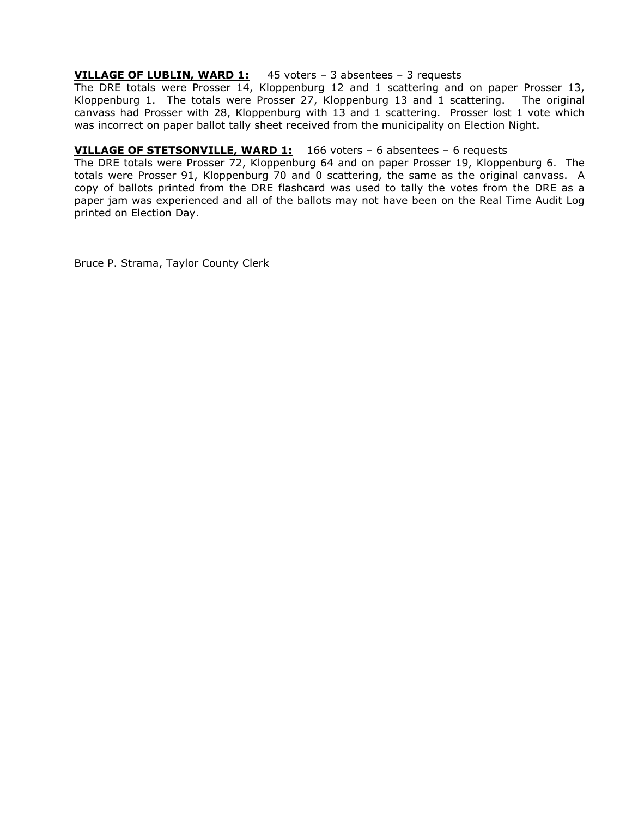# **VILLAGE OF LUBLIN, WARD 1:** 45 voters – 3 absentees – 3 requests

The DRE totals were Prosser 14, Kloppenburg 12 and 1 scattering and on paper Prosser 13, Kloppenburg 1. The totals were Prosser 27, Kloppenburg 13 and 1 scattering. The original canvass had Prosser with 28, Kloppenburg with 13 and 1 scattering. Prosser lost 1 vote which was incorrect on paper ballot tally sheet received from the municipality on Election Night.

# **VILLAGE OF STETSONVILLE, WARD 1:** 166 voters – 6 absentees – 6 requests

The DRE totals were Prosser 72, Kloppenburg 64 and on paper Prosser 19, Kloppenburg 6. The totals were Prosser 91, Kloppenburg 70 and 0 scattering, the same as the original canvass. A copy of ballots printed from the DRE flashcard was used to tally the votes from the DRE as a paper jam was experienced and all of the ballots may not have been on the Real Time Audit Log printed on Election Day.

Bruce P. Strama, Taylor County Clerk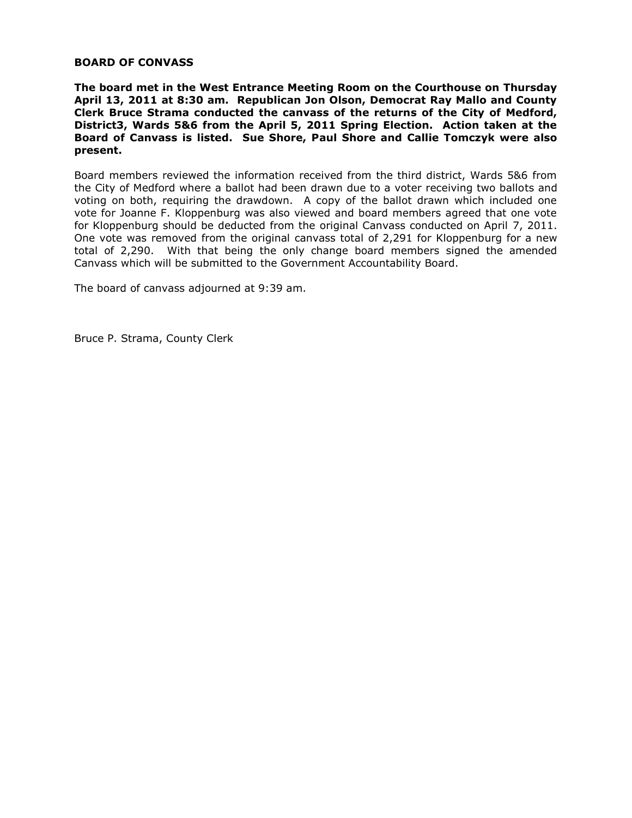# **BOARD OF CONVASS**

**The board met in the West Entrance Meeting Room on the Courthouse on Thursday April 13, 2011 at 8:30 am. Republican Jon Olson, Democrat Ray Mallo and County Clerk Bruce Strama conducted the canvass of the returns of the City of Medford, District3, Wards 5&6 from the April 5, 2011 Spring Election. Action taken at the Board of Canvass is listed. Sue Shore, Paul Shore and Callie Tomczyk were also present.**

Board members reviewed the information received from the third district, Wards 5&6 from the City of Medford where a ballot had been drawn due to a voter receiving two ballots and voting on both, requiring the drawdown. A copy of the ballot drawn which included one vote for Joanne F. Kloppenburg was also viewed and board members agreed that one vote for Kloppenburg should be deducted from the original Canvass conducted on April 7, 2011. One vote was removed from the original canvass total of 2,291 for Kloppenburg for a new total of 2,290. With that being the only change board members signed the amended Canvass which will be submitted to the Government Accountability Board.

The board of canvass adjourned at 9:39 am.

Bruce P. Strama, County Clerk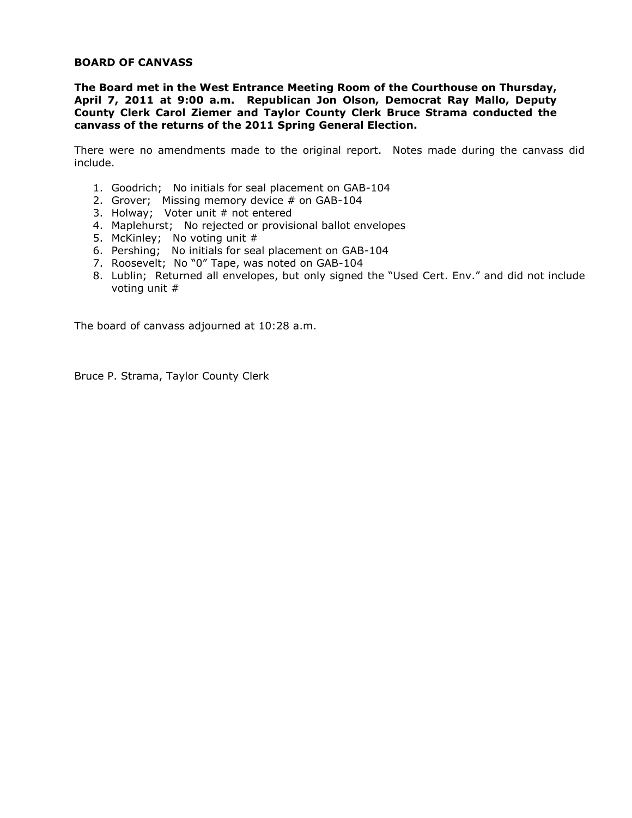# **BOARD OF CANVASS**

**The Board met in the West Entrance Meeting Room of the Courthouse on Thursday, April 7, 2011 at 9:00 a.m. Republican Jon Olson, Democrat Ray Mallo, Deputy County Clerk Carol Ziemer and Taylor County Clerk Bruce Strama conducted the canvass of the returns of the 2011 Spring General Election.**

There were no amendments made to the original report. Notes made during the canvass did include.

- 1. Goodrich; No initials for seal placement on GAB-104
- 2. Grover; Missing memory device # on GAB-104
- 3. Holway; Voter unit  $#$  not entered
- 4. Maplehurst; No rejected or provisional ballot envelopes
- 5. McKinley; No voting unit #
- 6. Pershing; No initials for seal placement on GAB-104
- 7. Roosevelt; No "0" Tape, was noted on GAB-104
- 8. Lublin; Returned all envelopes, but only signed the "Used Cert. Env." and did not include voting unit #

The board of canvass adjourned at 10:28 a.m.

Bruce P. Strama, Taylor County Clerk